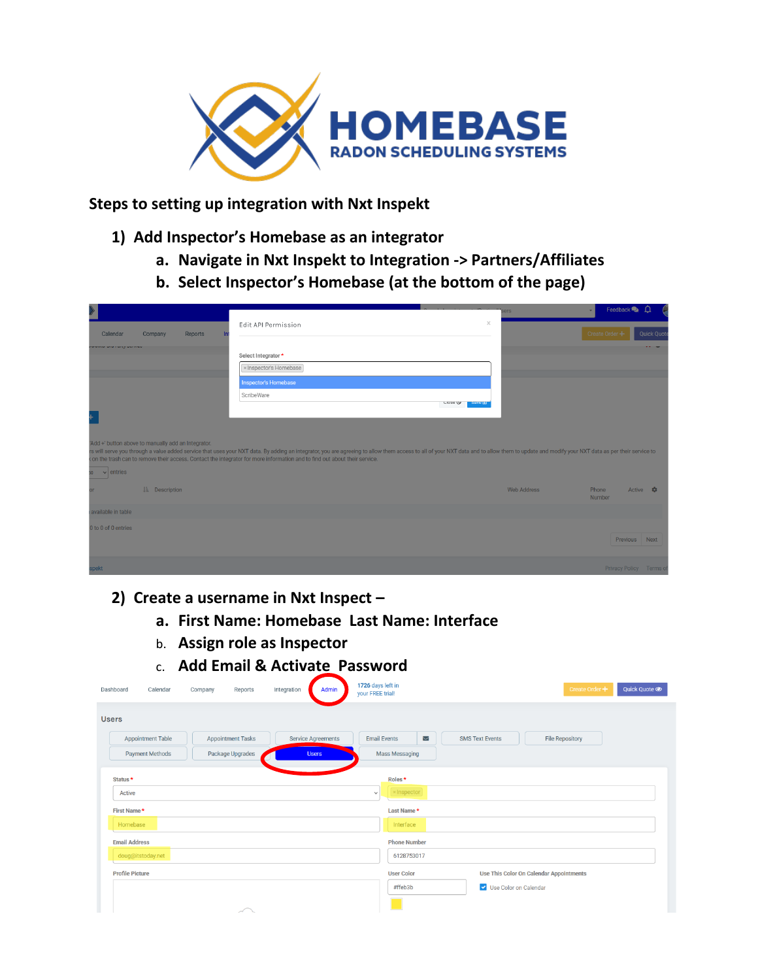

**Steps to setting up integration with Nxt Inspekt**

- **1) Add Inspector's Homebase as an integrator**
	- **a. Navigate in Nxt Inspekt to Integration -> Partners/Affiliates**
	- **b. Select Inspector's Homebase (at the bottom of the page)**

| $\blacktriangleright$<br>Calendar<br>Company<br>Reports<br><b>WWITH UNIT UITY UNITING</b>                                                                                                                                                 | $\times$<br>Edit API Permission<br>Select Integrator*<br>x Inspector's Homebase<br><b>Inspector's Homebase</b><br>ScribeWare<br><b>CIDSE OF SAVE OF</b>                                                                        | <b>ers</b>         | Feedback<br>$\mathbf{v}$<br>Create Order + | <b>Quick Quote</b> |
|-------------------------------------------------------------------------------------------------------------------------------------------------------------------------------------------------------------------------------------------|--------------------------------------------------------------------------------------------------------------------------------------------------------------------------------------------------------------------------------|--------------------|--------------------------------------------|--------------------|
| 'Add +' button above to manually add an Integrator.<br>< on the trash can to remove their access. Contact the integrator for more information and to find out about their service.<br>$\vee$ entries<br>50 <sub>1</sub><br>LE Description | rs will serve you through a value added service that uses your NXT data. By adding an integrator, you are agreeing to allow them access to all of your NXT data and to allow them to update and modify your NXT data as per th | <b>Web Address</b> | Active <b>*</b><br>Phone<br>Number         |                    |
| available in table<br>0 to 0 of 0 entries                                                                                                                                                                                                 |                                                                                                                                                                                                                                |                    | Previous Next                              |                    |
| spekt                                                                                                                                                                                                                                     |                                                                                                                                                                                                                                |                    | Privacy Policy Terms of                    |                    |

- **2) Create a username in Nxt Inspect –**
	- **a. First Name: Homebase Last Name: Interface**
	- b. **Assign role as Inspector**
	- c. **Add Email & Activate Password**

| Dashboard<br>Calendar    | Reports<br>Company       | Admin<br>Integration      | 1726 days left in<br>your FREE trial! | Quick Quote <sup>o</sup><br>Create Order +       |
|--------------------------|--------------------------|---------------------------|---------------------------------------|--------------------------------------------------|
| <b>Users</b>             |                          |                           |                                       |                                                  |
| <b>Appointment Table</b> | <b>Appointment Tasks</b> | <b>Service Agreements</b> | <b>Email Events</b><br>Z              | <b>File Repository</b><br><b>SMS Text Events</b> |
| <b>Payment Methods</b>   | Package Upgrades         | <b>Users</b>              | <b>Mass Messaging</b>                 |                                                  |
| Status <sup>*</sup>      |                          |                           | Roles*                                |                                                  |
| Active                   |                          |                           | $\times$ Inspector<br>$\checkmark$    |                                                  |
| First Name*              |                          |                           | Last Name*                            |                                                  |
| Homebase                 |                          |                           | Interface                             |                                                  |
| <b>Email Address</b>     |                          |                           | <b>Phone Number</b>                   |                                                  |
| doug@itstoday.net        |                          |                           | 6128753017                            |                                                  |
| <b>Profile Picture</b>   |                          |                           | <b>User Color</b>                     | Use This Color On Calendar Appointments          |
|                          |                          |                           | #ffeb3b                               | V Use Color on Calendar                          |
|                          | $\overline{\phantom{a}}$ |                           |                                       |                                                  |